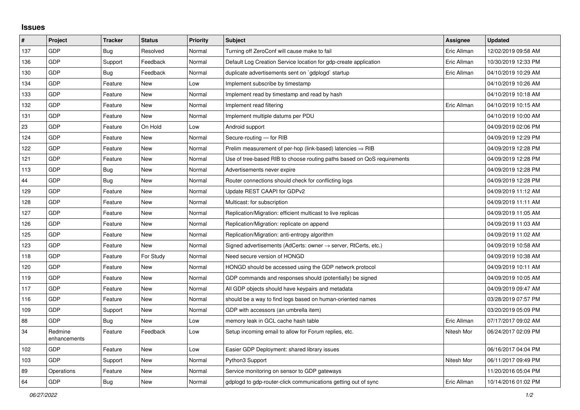## **Issues**

| $\sharp$ | Project                 | <b>Tracker</b> | <b>Status</b> | <b>Priority</b> | <b>Subject</b>                                                          | Assignee    | <b>Updated</b>      |
|----------|-------------------------|----------------|---------------|-----------------|-------------------------------------------------------------------------|-------------|---------------------|
| 137      | <b>GDP</b>              | Bug            | Resolved      | Normal          | Turning off ZeroConf will cause make to fail                            | Eric Allman | 12/02/2019 09:58 AM |
| 136      | GDP                     | Support        | Feedback      | Normal          | Default Log Creation Service location for gdp-create application        | Eric Allman | 10/30/2019 12:33 PM |
| 130      | <b>GDP</b>              | <b>Bug</b>     | Feedback      | Normal          | duplicate advertisements sent on `gdplogd` startup                      | Eric Allman | 04/10/2019 10:29 AM |
| 134      | <b>GDP</b>              | Feature        | <b>New</b>    | Low             | Implement subscribe by timestamp                                        |             | 04/10/2019 10:26 AM |
| 133      | <b>GDP</b>              | Feature        | <b>New</b>    | Normal          | Implement read by timestamp and read by hash                            |             | 04/10/2019 10:18 AM |
| 132      | <b>GDP</b>              | Feature        | <b>New</b>    | Normal          | Implement read filtering                                                | Eric Allman | 04/10/2019 10:15 AM |
| 131      | <b>GDP</b>              | Feature        | <b>New</b>    | Normal          | Implement multiple datums per PDU                                       |             | 04/10/2019 10:00 AM |
| 23       | <b>GDP</b>              | Feature        | On Hold       | Low             | Android support                                                         |             | 04/09/2019 02:06 PM |
| 124      | <b>GDP</b>              | Feature        | <b>New</b>    | Normal          | Secure-routing - for RIB                                                |             | 04/09/2019 12:29 PM |
| 122      | <b>GDP</b>              | Feature        | <b>New</b>    | Normal          | Prelim measurement of per-hop (link-based) latencies $\Rightarrow$ RIB  |             | 04/09/2019 12:28 PM |
| 121      | <b>GDP</b>              | Feature        | <b>New</b>    | Normal          | Use of tree-based RIB to choose routing paths based on QoS requirements |             | 04/09/2019 12:28 PM |
| 113      | <b>GDP</b>              | Bug            | <b>New</b>    | Normal          | Advertisements never expire                                             |             | 04/09/2019 12:28 PM |
| 44       | <b>GDP</b>              | <b>Bug</b>     | <b>New</b>    | Normal          | Router connections should check for conflicting logs                    |             | 04/09/2019 12:28 PM |
| 129      | <b>GDP</b>              | Feature        | <b>New</b>    | Normal          | Update REST CAAPI for GDPv2                                             |             | 04/09/2019 11:12 AM |
| 128      | <b>GDP</b>              | Feature        | <b>New</b>    | Normal          | Multicast: for subscription                                             |             | 04/09/2019 11:11 AM |
| 127      | <b>GDP</b>              | Feature        | <b>New</b>    | Normal          | Replication/Migration: efficient multicast to live replicas             |             | 04/09/2019 11:05 AM |
| 126      | <b>GDP</b>              | Feature        | <b>New</b>    | Normal          | Replication/Migration: replicate on append                              |             | 04/09/2019 11:03 AM |
| 125      | GDP                     | Feature        | <b>New</b>    | Normal          | Replication/Migration: anti-entropy algorithm                           |             | 04/09/2019 11:02 AM |
| 123      | <b>GDP</b>              | Feature        | <b>New</b>    | Normal          | Signed advertisements (AdCerts: owner → server, RtCerts, etc.)          |             | 04/09/2019 10:58 AM |
| 118      | <b>GDP</b>              | Feature        | For Study     | Normal          | Need secure version of HONGD                                            |             | 04/09/2019 10:38 AM |
| 120      | <b>GDP</b>              | Feature        | <b>New</b>    | Normal          | HONGD should be accessed using the GDP network protocol                 |             | 04/09/2019 10:11 AM |
| 119      | <b>GDP</b>              | Feature        | <b>New</b>    | Normal          | GDP commands and responses should (potentially) be signed               |             | 04/09/2019 10:05 AM |
| 117      | <b>GDP</b>              | Feature        | <b>New</b>    | Normal          | All GDP objects should have keypairs and metadata                       |             | 04/09/2019 09:47 AM |
| 116      | <b>GDP</b>              | Feature        | <b>New</b>    | Normal          | should be a way to find logs based on human-oriented names              |             | 03/28/2019 07:57 PM |
| 109      | <b>GDP</b>              | Support        | <b>New</b>    | Normal          | GDP with accessors (an umbrella item)                                   |             | 03/20/2019 05:09 PM |
| 88       | <b>GDP</b>              | <b>Bug</b>     | <b>New</b>    | Low             | memory leak in GCL cache hash table                                     | Eric Allman | 07/17/2017 09:02 AM |
| 34       | Redmine<br>enhancements | Feature        | Feedback      | Low             | Setup incoming email to allow for Forum replies, etc.                   | Nitesh Mor  | 06/24/2017 02:09 PM |
| 102      | GDP                     | Feature        | <b>New</b>    | Low             | Easier GDP Deployment: shared library issues                            |             | 06/16/2017 04:04 PM |
| 103      | <b>GDP</b>              | Support        | <b>New</b>    | Normal          | Python3 Support                                                         | Nitesh Mor  | 06/11/2017 09:49 PM |
| 89       | Operations              | Feature        | <b>New</b>    | Normal          | Service monitoring on sensor to GDP gateways                            |             | 11/20/2016 05:04 PM |
| 64       | GDP                     | Bug            | <b>New</b>    | Normal          | gdplogd to gdp-router-click communications getting out of sync          | Eric Allman | 10/14/2016 01:02 PM |